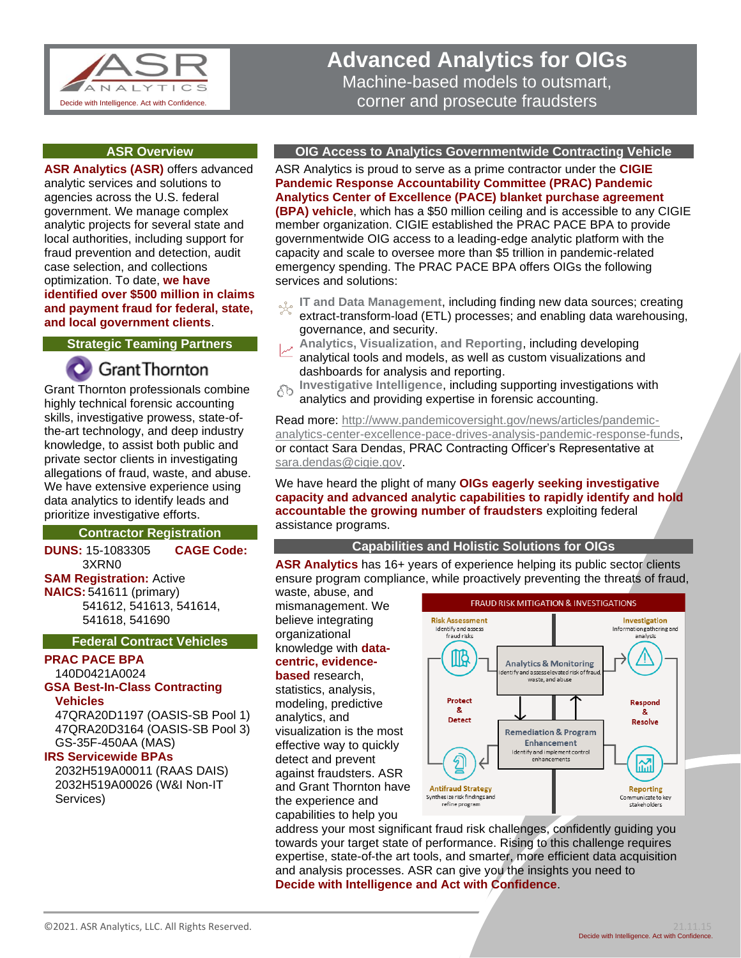

# **Advanced Analytics for OIGs** Machine-based models to outsmart, corner and prosecute fraudsters

#### **ASR Overview**

**ASR Analytics (ASR)** offers advanced analytic services and solutions to agencies across the U.S. federal government. We manage complex analytic projects for several state and local authorities, including support for fraud prevention and detection, audit case selection, and collections optimization. To date, **we have identified over \$500 million in claims and payment fraud for federal, state, and local government clients**.

### **Strategic Teaming Partners**

# **Grant Thornton**

Grant Thornton professionals combine highly technical forensic accounting skills, investigative prowess, state-ofthe-art technology, and deep industry knowledge, to assist both public and private sector clients in investigating allegations of fraud, waste, and abuse. We have extensive experience using data analytics to identify leads and prioritize investigative efforts.

#### **Contractor Registration**

**DUNS:** 15-1083305 **CAGE Code:** 3XRN0

#### **SAM Registration:** Active

**NAICS:** 541611 (primary) 541612, 541613, 541614, 541618, 541690

#### **Federal Contract Vehicles**

## **PRAC PACE BPA**

140D0421A0024 **GSA Best-In-Class Contracting** 

## **Vehicles**

47QRA20D1197 (OASIS-SB Pool 1) 47QRA20D3164 (OASIS-SB Pool 3) GS-35F-450AA (MAS)

#### **IRS Servicewide BPAs**

2032H519A00011 (RAAS DAIS) 2032H519A00026 (W&I Non-IT Services)

#### **OIG Access to Analytics Governmentwide Contracting Vehicle**

ASR Analytics is proud to serve as a prime contractor under the **CIGIE Pandemic Response Accountability Committee (PRAC) Pandemic Analytics Center of Excellence (PACE) blanket purchase agreement (BPA) vehicle**, which has a \$50 million ceiling and is accessible to any CIGIE member organization. CIGIE established the PRAC PACE BPA to provide governmentwide OIG access to a leading-edge analytic platform with the capacity and scale to oversee more than \$5 trillion in pandemic-related emergency spending. The PRAC PACE BPA offers OIGs the following services and solutions:

- **IT and Data Management**, including finding new data sources; creating odo extract-transform-load (ETL) processes; and enabling data warehousing, governance, and security.
- **Analytics, Visualization, and Reporting**, including developing analytical tools and models, as well as custom visualizations and dashboards for analysis and reporting.
- **Investigative Intelligence**, including supporting investigations with గిరి analytics and providing expertise in forensic accounting.

Read more: [http://www.pandemicoversight.gov/news/articles/pandemic](http://www.pandemicoversight.gov/news/articles/pandemic-analytics-center-excellence-pace-drives-analysis-pandemic-response-funds)[analytics-center-excellence-pace-drives-analysis-pandemic-response-funds,](http://www.pandemicoversight.gov/news/articles/pandemic-analytics-center-excellence-pace-drives-analysis-pandemic-response-funds) or contact Sara Dendas, PRAC Contracting Officer's Representative at [sara.dendas@cigie.gov.](mailto:sara.dendas@cigie.gov)

We have heard the plight of many **OIGs eagerly seeking investigative capacity and advanced analytic capabilities to rapidly identify and hold accountable the growing number of fraudsters** exploiting federal assistance programs.

#### **Capabilities and Holistic Solutions for OIGs**

**ASR Analytics** has 16+ years of experience helping its public sector clients ensure program compliance, while proactively preventing the threats of fraud,

waste, abuse, and mismanagement. We believe integrating organizational knowledge with **datacentric, evidencebased** research,

statistics, analysis, modeling, predictive analytics, and visualization is the most effective way to quickly detect and prevent against fraudsters. ASR and Grant Thornton have the experience and capabilities to help you



address your most significant fraud risk challenges, confidently guiding you towards your target state of performance. Rising to this challenge requires expertise, state-of-the art tools, and smarter, more efficient data acquisition and analysis processes. ASR can give you the insights you need to **Decide with Intelligence and Act with Confidence**.